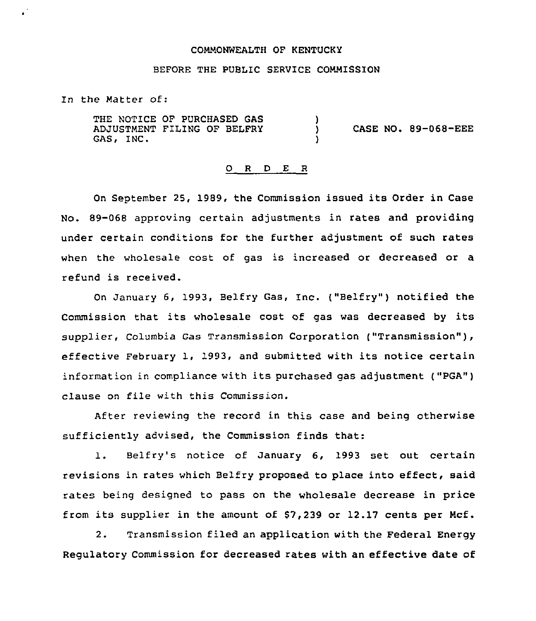#### COMMONWEALTH OF KENTUCKY

## BEFORE THE PUBLIC SERVICE COMMISSION

In the Matter of:

.

THE NOTICE OF PURCHASED GAS ADJUSTMENT FILING OF BELFRY GAS, INC. )<br>) ) CASE NO. 89-068-EEE )

#### 0 <sup>R</sup> <sup>D</sup> E <sup>R</sup>

On September 25, 1989, the Commission issued its Order in Case No. 89-068 approving certain adjustments in rates and providing under certain conditions for the further adjustment of such rates when the wholesale cost of gas is increased or decreased or a refund is received.

On January 6, 1993, Belfry Gas, Inc. ("Belfry" ) notified the Commission that its wholesale cost of gas was decreased by its supplier, Columbia Gas Transmission Corporation ("Transmission"), effective February 1, 1993, and submitted with its notice certain information in compliance with its purchased gas adjustment ("pGA") clause on file with this Commission.

After reviewing the record in this case and being otherwise sufficiently advised, the Commission finds that:

1. Belfry's notice of January 6, <sup>1993</sup> set out certain revisions in rates which Belfry proposed to place into effect, said rates being designed to pass on the wholesale decrease in price from its supplier in the amount of \$7,239 or 12.17 cents per Mcf.

2. Transmission filed an application with the Federal Energy Regulatory commission for decreased rates with an effective date of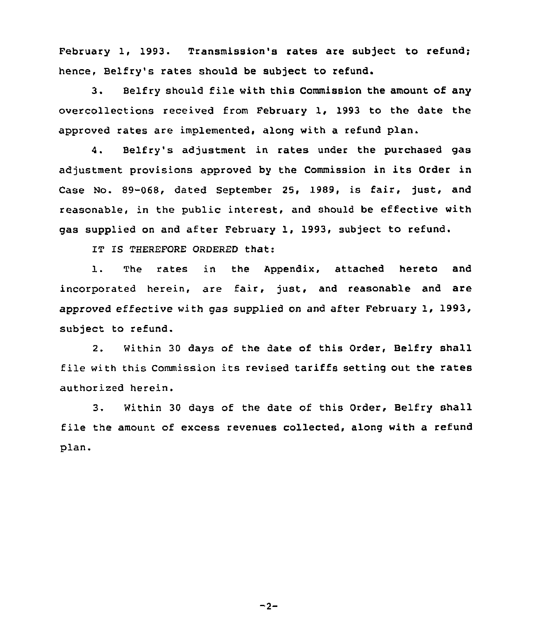February 1, 1993. Transmission's rates are subject to refund; hence, Belfry's rates should be subject to refund.

3. Belfry should file with this Commission the amount of any overcollections received from February 1, 1993 to the date the approved rates are implemented, along with a refund plan.

4. Belfry's adjustment in rates under the purchased gas adjustment provisions approved by the Commission in its Order in Case No. 89-068, dated September 25, 1989, is fair, just, and reasonable, in the public interest, and should be effective with gas supplied on and after February 1, 1993, subject to refund.

IT IS THEREFORE ORDERED that:

1. The rates in the Appendix, attached hereto and incorporated herein, are fair, just, and reasonable and are approved effective with gas supplied on and after February 1, 1993, subject to refund.

2, Within 30 days of the date of this Order, Belfry shall file with this Commission its revised tariffs setting out the rates authorized herein.

3. Within 30 days of the date of this Order, Belfry shall file the amount of excess revenues collected, along with a refund plan.

 $-2-$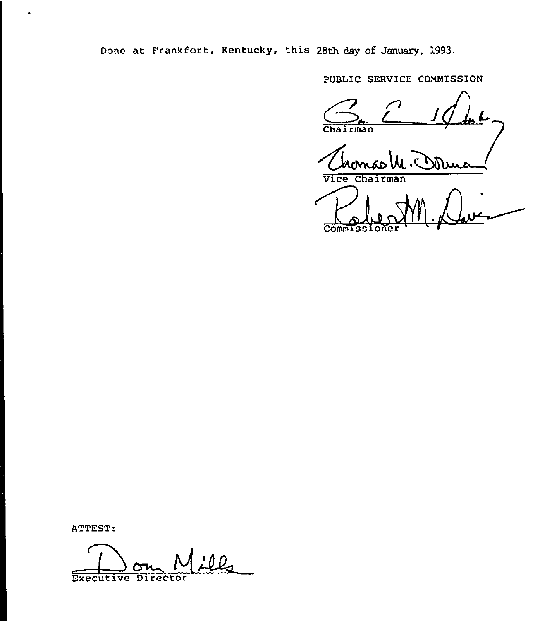Done at Frankfort, Kentucky, this 28th day of January, 1993.

PUBLIC SERVICE COMMISSION

 $4.4$ Chairman

Vice Chairman Pole M

ATTEST:

<u>:12</u> Executive Director